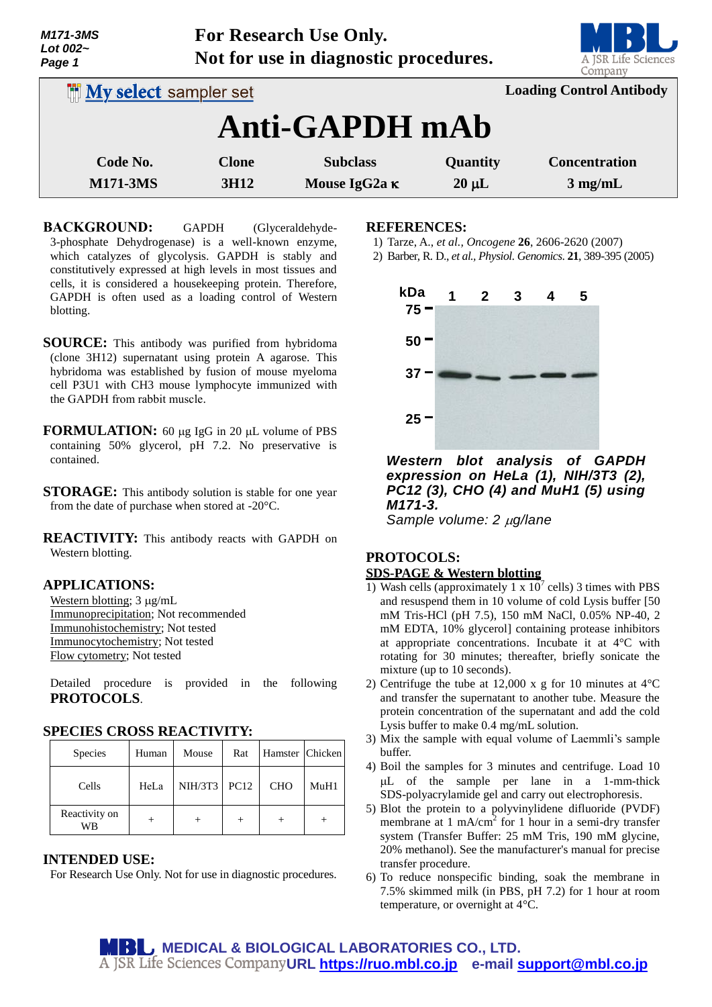| M171-3MS       |
|----------------|
| Lot 002 $\sim$ |
| Page 1         |

**For Research Use Only. Not for use in diagnostic procedures.**



| <b>IN My select sampler set</b> |                                  |                                         |                               | <b>Loading Control Antibody</b>           |  |  |  |
|---------------------------------|----------------------------------|-----------------------------------------|-------------------------------|-------------------------------------------|--|--|--|
| Anti-GAPDH mAb                  |                                  |                                         |                               |                                           |  |  |  |
| Code No.<br><b>M171-3MS</b>     | <b>Clone</b><br>3H <sub>12</sub> | <b>Subclass</b><br>Mouse IgG2a $\kappa$ | <b>Quantity</b><br>$20 \mu L$ | <b>Concentration</b><br>$3 \text{ mg/mL}$ |  |  |  |

**BACKGROUND:** GAPDH (Glyceraldehyde-3-phosphate Dehydrogenase) is a well-known enzyme, which catalyzes of glycolysis. GAPDH is stably and constitutively expressed at high levels in most tissues and cells, it is considered a housekeeping protein. Therefore, GAPDH is often used as a loading control of Western blotting.

- **SOURCE:** This antibody was purified from hybridoma (clone 3H12) supernatant using protein A agarose. This hybridoma was established by fusion of mouse myeloma cell P3U1 with CH3 mouse lymphocyte immunized with the GAPDH from rabbit muscle.
- **FORMULATION:** 60 µg IgG in 20 µL volume of PBS containing 50% glycerol, pH 7.2. No preservative is contained.
- **STORAGE:** This antibody solution is stable for one year from the date of purchase when stored at -20°C.
- **REACTIVITY:** This antibody reacts with GAPDH on Western blotting.

## **APPLICATIONS:**

Western blotting;  $3 \mu g/mL$ Immunoprecipitation; Not recommended Immunohistochemistry; Not tested Immunocytochemistry; Not tested Flow cytometry; Not tested

Detailed procedure is provided in the following **PROTOCOLS**.

## **SPECIES CROSS REACTIVITY:**

| <b>Species</b>      | Human | Mouse        | Rat | Hamster Chicken |      |
|---------------------|-------|--------------|-----|-----------------|------|
| Cells               | HeLa  | NIH/3T3 PC12 |     | <b>CHO</b>      | MuH1 |
| Reactivity on<br>WR |       |              |     |                 |      |

#### **INTENDED USE:**

For Research Use Only. Not for use in diagnostic procedures.

### **REFERENCES:**

- 1) Tarze, A., *et al., Oncogene* **26**, 2606-2620 (2007)
- 2) Barber, R. D., *et al., Physiol. Genomics*. **21**, 389-395 (2005)



*Western blot analysis of GAPDH expression on HeLa (1), NIH/3T3 (2), PC12 (3), CHO (4) and MuH1 (5) using M171-3.*

*Sample volume: 2 µg/lane* 

## **PROTOCOLS: SDS-PAGE & Western blotting**

- 1) Wash cells (approximately 1 x  $10^7$  cells) 3 times with PBS and resuspend them in 10 volume of cold Lysis buffer [50 mM Tris-HCl (pH 7.5), 150 mM NaCl, 0.05% NP-40, 2 mM EDTA, 10% glycerol] containing protease inhibitors at appropriate concentrations. Incubate it at 4°C with rotating for 30 minutes; thereafter, briefly sonicate the mixture (up to 10 seconds).
- 2) Centrifuge the tube at 12,000 x g for 10 minutes at 4°C and transfer the supernatant to another tube. Measure the protein concentration of the supernatant and add the cold Lysis buffer to make 0.4 mg/mL solution.
- 3) Mix the sample with equal volume of Laemmli's sample buffer.
- 4) Boil the samples for 3 minutes and centrifuge. Load 10 L of the sample per lane in a 1-mm-thick SDS-polyacrylamide gel and carry out electrophoresis.
- 5) Blot the protein to a polyvinylidene difluoride (PVDF) membrane at 1 mA/cm<sup>2</sup> for 1 hour in a semi-dry transfer system (Transfer Buffer: 25 mM Tris, 190 mM glycine, 20% methanol). See the manufacturer's manual for precise transfer procedure.
- 6) To reduce nonspecific binding, soak the membrane in 7.5% skimmed milk (in PBS, pH 7.2) for 1 hour at room temperature, or overnight at 4°C.

**MBL** MEDICAL & BIOLOGICAL LABORATORIES CO., LTD. **URL [https://ruo.mbl.co.jp](https://ruo.mbl.co.jp/) e-mail [support@mbl.co.jp](mailto:support@mbl.co.jp)**